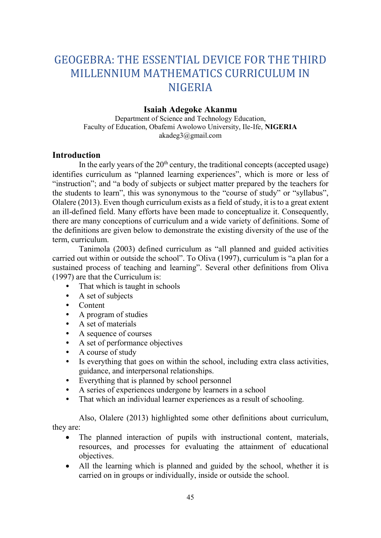# GEOGEBRA: THE ESSENTIAL DEVICE FOR THE THIRD MILLENNIUM MATHEMATICS CURRICULUM IN NIGERIA

# Isaiah Adegoke Akanmu

Department of Science and Technology Education, Faculty of Education, Obafemi Awolowo University, Ile-Ife, NIGERIA akadeg3@gmail.com

## **Introduction**

In the early years of the  $20<sup>th</sup>$  century, the traditional concepts (accepted usage) identifies curriculum as "planned learning experiences", which is more or less of "instruction"; and "a body of subjects or subject matter prepared by the teachers for the students to learn", this was synonymous to the "course of study" or "syllabus", Olalere (2013). Even though curriculum exists as a field of study, it is to a great extent an ill-defined field. Many efforts have been made to conceptualize it. Consequently, there are many conceptions of curriculum and a wide variety of definitions. Some of the definitions are given below to demonstrate the existing diversity of the use of the term, curriculum.

Tanimola (2003) defined curriculum as "all planned and guided activities carried out within or outside the school". To Oliva (1997), curriculum is "a plan for a sustained process of teaching and learning". Several other definitions from Oliva (1997) are that the Curriculum is:

- That which is taught in schools
- A set of subjects
- Content
- A program of studies
- A set of materials
- A sequence of courses
- A set of performance objectives
- A course of study
- Is everything that goes on within the school, including extra class activities, guidance, and interpersonal relationships.
- Everything that is planned by school personnel
- A series of experiences undergone by learners in a school
- That which an individual learner experiences as a result of schooling.

 Also, Olalere (2013) highlighted some other definitions about curriculum, they are:

- The planned interaction of pupils with instructional content, materials, resources, and processes for evaluating the attainment of educational objectives.
- All the learning which is planned and guided by the school, whether it is carried on in groups or individually, inside or outside the school.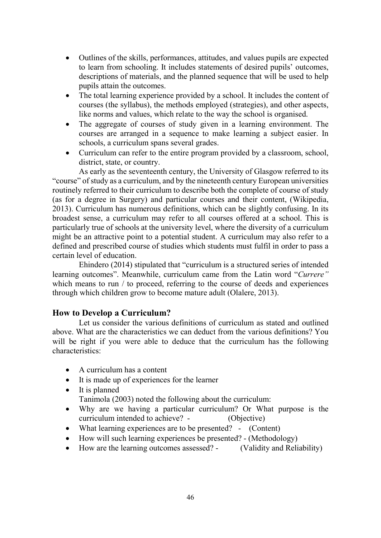- Outlines of the skills, performances, attitudes, and values pupils are expected to learn from schooling. It includes statements of desired pupils' outcomes, descriptions of materials, and the planned sequence that will be used to help pupils attain the outcomes.
- The total learning experience provided by a school. It includes the content of courses (the syllabus), the methods employed (strategies), and other aspects, like norms and values, which relate to the way the school is organised.
- The aggregate of courses of study given in a learning environment. The courses are arranged in a sequence to make learning a subject easier. In schools, a curriculum spans several grades.
- Curriculum can refer to the entire program provided by a classroom, school, district, state, or country.

As early as the seventeenth century, the University of Glasgow referred to its "course" of study as a curriculum, and by the nineteenth century European universities routinely referred to their curriculum to describe both the complete of course of study (as for a degree in Surgery) and particular courses and their content, (Wikipedia, 2013). Curriculum has numerous definitions, which can be slightly confusing. In its broadest sense, a curriculum may refer to all courses offered at a school. This is particularly true of schools at the university level, where the diversity of a curriculum might be an attractive point to a potential student. A curriculum may also refer to a defined and prescribed course of studies which students must fulfil in order to pass a certain level of education.

 Ehindero (2014) stipulated that "curriculum is a structured series of intended learning outcomes". Meanwhile, curriculum came from the Latin word "Currere" which means to run / to proceed, referring to the course of deeds and experiences through which children grow to become mature adult (Olalere, 2013).

# How to Develop a Curriculum?

Let us consider the various definitions of curriculum as stated and outlined above. What are the characteristics we can deduct from the various definitions? You will be right if you were able to deduce that the curriculum has the following characteristics:

- A curriculum has a content
- It is made up of experiences for the learner
- It is planned Tanimola (2003) noted the following about the curriculum:
- Why are we having a particular curriculum? Or What purpose is the curriculum intended to achieve? - (Objective)
- What learning experiences are to be presented? (Content)
- How will such learning experiences be presented? (Methodology)
- How are the learning outcomes assessed? (Validity and Reliability)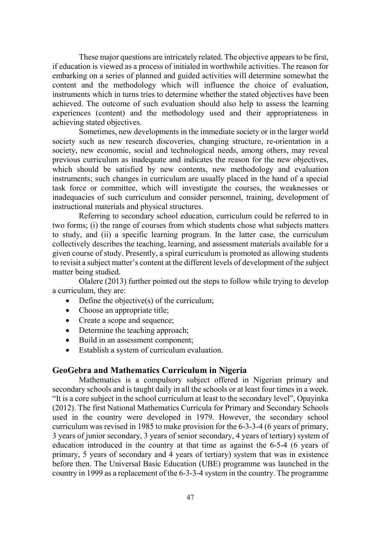These major questions are intricately related. The objective appears to be first, if education is viewed as a process of initialed in worthwhile activities. The reason for embarking on a series of planned and guided activities will determine somewhat the content and the methodology which will influence the choice of evaluation, instruments which in turns tries to determine whether the stated objectives have been achieved. The outcome of such evaluation should also help to assess the learning experiences (content) and the methodology used and their appropriateness in achieving stated objectives.

 Sometimes, new developments in the immediate society or in the larger world society such as new research discoveries, changing structure, re-orientation in a society, new economic, social and technological needs, among others, may reveal previous curriculum as inadequate and indicates the reason for the new objectives, which should be satisfied by new contents, new methodology and evaluation instruments; such changes in curriculum are usually placed in the hand of a special task force or committee, which will investigate the courses, the weaknesses or inadequacies of such curriculum and consider personnel, training, development of instructional materials and physical structures.

 Referring to secondary school education, curriculum could be referred to in two forms; (i) the range of courses from which students chose what subjects matters to study, and (ii) a specific learning program. In the latter case, the curriculum collectively describes the teaching, learning, and assessment materials available for a given course of study. Presently, a spiral curriculum is promoted as allowing students to revisit a subject matter's content at the different levels of development of the subject matter being studied.

 Olalere (2013) further pointed out the steps to follow while trying to develop a curriculum, they are:

- Define the objective(s) of the curriculum;
- Choose an appropriate title;
- Create a scope and sequence;
- Determine the teaching approach;
- Build in an assessment component;
- Establish a system of curriculum evaluation.

### GeoGebra and Mathematics Curriculum in Nigeria

Mathematics is a compulsory subject offered in Nigerian primary and secondary schools and is taught daily in all the schools or at least four times in a week. "It is a core subject in the school curriculum at least to the secondary level", Opayinka (2012). The first National Mathematics Curricula for Primary and Secondary Schools used in the country were developed in 1979. However, the secondary school curriculum was revised in 1985 to make provision for the 6-3-3-4 (6 years of primary, 3 years of junior secondary, 3 years of senior secondary, 4 years of tertiary) system of education introduced in the country at that time as against the 6-5-4 (6 years of primary, 5 years of secondary and 4 years of tertiary) system that was in existence before then. The Universal Basic Education (UBE) programme was launched in the country in 1999 as a replacement of the 6-3-3-4 system in the country. The programme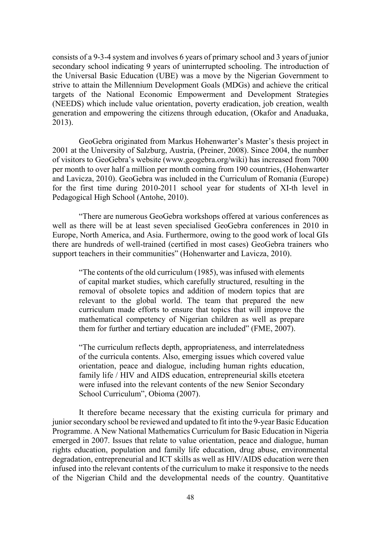consists of a 9-3-4 system and involves 6 years of primary school and 3 years of junior secondary school indicating 9 years of uninterrupted schooling. The introduction of the Universal Basic Education (UBE) was a move by the Nigerian Government to strive to attain the Millennium Development Goals (MDGs) and achieve the critical targets of the National Economic Empowerment and Development Strategies (NEEDS) which include value orientation, poverty eradication, job creation, wealth generation and empowering the citizens through education, (Okafor and Anaduaka, 2013).

 GeoGebra originated from Markus Hohenwarter's Master's thesis project in 2001 at the University of Salzburg, Austria, (Preiner, 2008). Since 2004, the number of visitors to GeoGebra's website (www.geogebra.org/wiki) has increased from 7000 per month to over half a million per month coming from 190 countries, (Hohenwarter and Lavicza, 2010). GeoGebra was included in the Curriculum of Romania (Europe) for the first time during 2010-2011 school year for students of XI-th level in Pedagogical High School (Antohe, 2010).

 "There are numerous GeoGebra workshops offered at various conferences as well as there will be at least seven specialised GeoGebra conferences in 2010 in Europe, North America, and Asia. Furthermore, owing to the good work of local GIs there are hundreds of well-trained (certified in most cases) GeoGebra trainers who support teachers in their communities" (Hohenwarter and Lavicza, 2010).

"The contents of the old curriculum (1985), was infused with elements of capital market studies, which carefully structured, resulting in the removal of obsolete topics and addition of modern topics that are relevant to the global world. The team that prepared the new curriculum made efforts to ensure that topics that will improve the mathematical competency of Nigerian children as well as prepare them for further and tertiary education are included" (FME, 2007).

"The curriculum reflects depth, appropriateness, and interrelatedness of the curricula contents. Also, emerging issues which covered value orientation, peace and dialogue, including human rights education, family life / HIV and AIDS education, entrepreneurial skills etcetera were infused into the relevant contents of the new Senior Secondary School Curriculum", Obioma (2007).

 It therefore became necessary that the existing curricula for primary and junior secondary school be reviewed and updated to fit into the 9-year Basic Education Programme. A New National Mathematics Curriculum for Basic Education in Nigeria emerged in 2007. Issues that relate to value orientation, peace and dialogue, human rights education, population and family life education, drug abuse, environmental degradation, entrepreneurial and ICT skills as well as HIV/AIDS education were then infused into the relevant contents of the curriculum to make it responsive to the needs of the Nigerian Child and the developmental needs of the country. Quantitative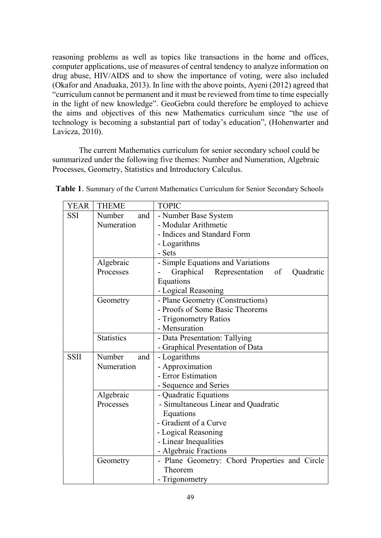reasoning problems as well as topics like transactions in the home and offices, computer applications, use of measures of central tendency to analyze information on drug abuse, HIV/AIDS and to show the importance of voting, were also included (Okafor and Anaduaka, 2013). In line with the above points, Ayeni (2012) agreed that "curriculum cannot be permanent and it must be reviewed from time to time especially in the light of new knowledge". GeoGebra could therefore be employed to achieve the aims and objectives of this new Mathematics curriculum since "the use of technology is becoming a substantial part of today's education", (Hohenwarter and Lavicza, 2010).

 The current Mathematics curriculum for senior secondary school could be summarized under the following five themes: Number and Numeration, Algebraic Processes, Geometry, Statistics and Introductory Calculus.

| YEAR        | <b>THEME</b>      | <b>TOPIC</b>                                  |
|-------------|-------------------|-----------------------------------------------|
| SSI         | Number<br>and     | - Number Base System                          |
|             | Numeration        | - Modular Arithmetic                          |
|             |                   | - Indices and Standard Form                   |
|             |                   | - Logarithms                                  |
|             |                   | - Sets                                        |
|             | Algebraic         | - Simple Equations and Variations             |
|             | Processes         | Graphical<br>Representation of<br>Quadratic   |
|             |                   | Equations                                     |
|             |                   | - Logical Reasoning                           |
|             | Geometry          | - Plane Geometry (Constructions)              |
|             |                   | - Proofs of Some Basic Theorems               |
|             |                   | - Trigonometry Ratios                         |
|             |                   | - Mensuration                                 |
|             | <b>Statistics</b> | - Data Presentation: Tallying                 |
|             |                   | - Graphical Presentation of Data              |
| <b>SSII</b> | Number<br>and     | - Logarithms                                  |
|             | Numeration        | - Approximation                               |
|             |                   | - Error Estimation                            |
|             |                   | - Sequence and Series                         |
|             | Algebraic         | - Quadratic Equations                         |
|             | Processes         | - Simultaneous Linear and Quadratic           |
|             |                   | Equations                                     |
|             |                   | - Gradient of a Curve                         |
|             |                   | - Logical Reasoning                           |
|             |                   | - Linear Inequalities                         |
|             |                   | - Algebraic Fractions                         |
|             | Geometry          | - Plane Geometry: Chord Properties and Circle |
|             |                   | Theorem                                       |
|             |                   | - Trigonometry                                |

|  | Table 1. Summary of the Current Mathematics Curriculum for Senior Secondary Schools |  |  |  |  |  |  |  |  |  |  |
|--|-------------------------------------------------------------------------------------|--|--|--|--|--|--|--|--|--|--|
|--|-------------------------------------------------------------------------------------|--|--|--|--|--|--|--|--|--|--|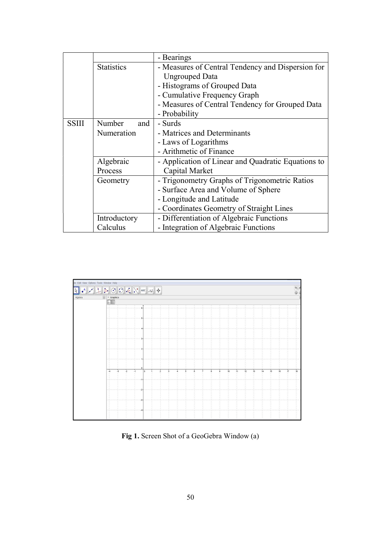|              |                   | - Bearings                                         |  |  |  |  |  |
|--------------|-------------------|----------------------------------------------------|--|--|--|--|--|
|              | <b>Statistics</b> | - Measures of Central Tendency and Dispersion for  |  |  |  |  |  |
|              |                   | <b>Ungrouped Data</b>                              |  |  |  |  |  |
|              |                   | - Histograms of Grouped Data                       |  |  |  |  |  |
|              |                   | - Cumulative Frequency Graph                       |  |  |  |  |  |
|              |                   | - Measures of Central Tendency for Grouped Data    |  |  |  |  |  |
|              |                   | - Probability                                      |  |  |  |  |  |
| <b>SSIII</b> | Number<br>and     | - Surds                                            |  |  |  |  |  |
|              | Numeration        | - Matrices and Determinants                        |  |  |  |  |  |
|              |                   | - Laws of Logarithms                               |  |  |  |  |  |
|              |                   | - Arithmetic of Finance                            |  |  |  |  |  |
|              | Algebraic         | - Application of Linear and Quadratic Equations to |  |  |  |  |  |
|              | Process           | Capital Market                                     |  |  |  |  |  |
|              | Geometry          | - Trigonometry Graphs of Trigonometric Ratios      |  |  |  |  |  |
|              |                   | - Surface Area and Volume of Sphere                |  |  |  |  |  |
|              |                   | - Longitude and Latitude                           |  |  |  |  |  |
|              |                   | - Coordinates Geometry of Straight Lines           |  |  |  |  |  |
|              | Introductory      | - Differentiation of Algebraic Functions           |  |  |  |  |  |
|              | Calculus          | - Integration of Algebraic Functions               |  |  |  |  |  |



Fig 1. Screen Shot of a GeoGebra Window (a)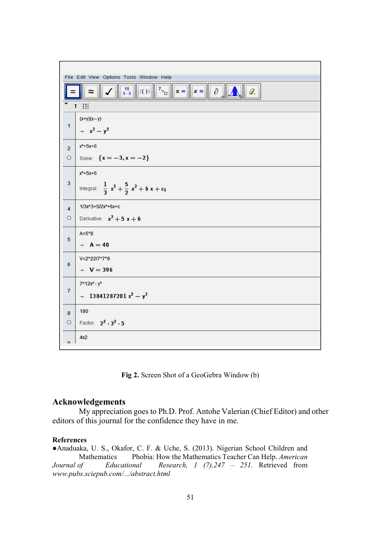

Fig 2. Screen Shot of a GeoGebra Window (b)

#### Acknowledgements

My appreciation goes to Ph.D. Prof. Antohe Valerian (Chief Editor) and other editors of this journal for the confidence they have in me.

#### References

●Anaduaka, U. S., Okafor, C. F. & Uche, S. (2013). Nigerian School Children and Mathematics Phobia: How the Mathematics Teacher Can Help. American Journal of Educational Research, 1 (7), 247 - 251. Retrieved from www.pubs.sciepub.com/.../abstract.html